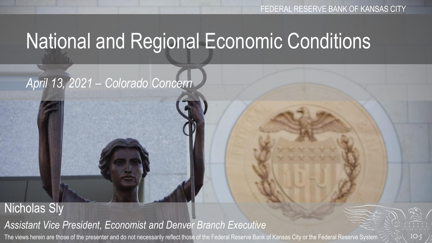# National and Regional Economic Conditions

### *April 13, 2021 – Colorado Concern*

#### Nicholas Sly *Assistant Vice President, Economist and Denver Branch Executive* The views herein are those of the presenter and do not necessarily reflect those of the Federal Reserve Bank of Kansas City or the Federal Reserve System

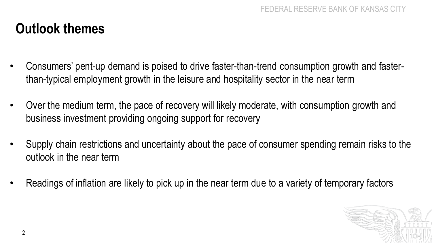### **Outlook themes**

- Consumers' pent-up demand is poised to drive faster-than-trend consumption growth and fasterthan-typical employment growth in the leisure and hospitality sector in the near term
- Over the medium term, the pace of recovery will likely moderate, with consumption growth and business investment providing ongoing support for recovery
- Supply chain restrictions and uncertainty about the pace of consumer spending remain risks to the outlook in the near term
- Readings of inflation are likely to pick up in the near term due to a variety of temporary factors

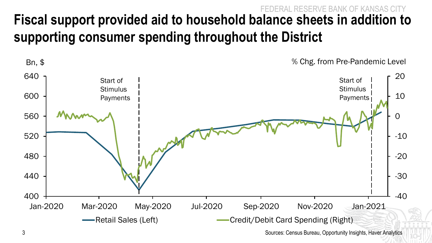### FEDERAL RESERVE BANK OF KANSAS CITY **Fiscal support provided aid to household balance sheets in addition to supporting consumer spending throughout the District**



3 Sources: Census Bureau, Opportunity Insights, Haver Analytics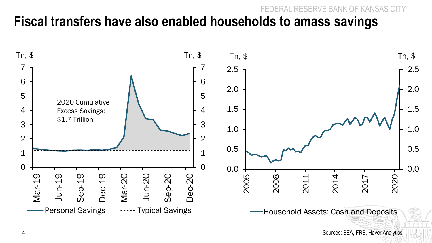#### FSERVE BANK OF K **Fiscal transfers have also enabled households to amass savings**



4 Sources: BEA, FRB, Haver Analytics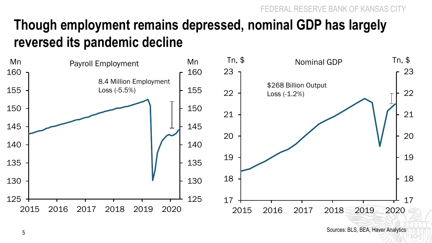### **Though employment remains depressed, nominal GDP has largely reversed its pandemic decline**



Sources: BLS, BEA, Haver Analytics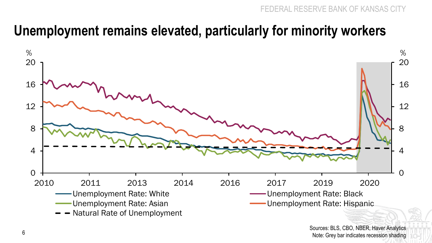### **Unemployment remains elevated, particularly for minority workers**

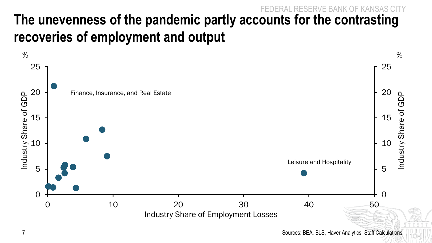#### RVE BANK OF **The unevenness of the pandemic partly accounts for the contrasting recoveries of employment and output**

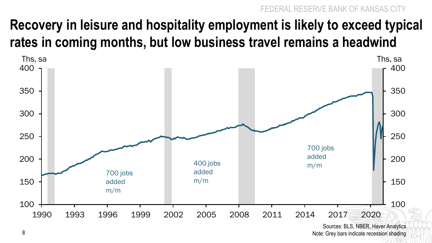FEDERAL RESERVE BANK OF KANSAS CITY

### **Recovery in leisure and hospitality employment is likely to exceed typical rates in coming months, but low business travel remains a headwind**



Sources: BLS, NBER, Haver Analytics 8 Note: Grey bars indicate recession shading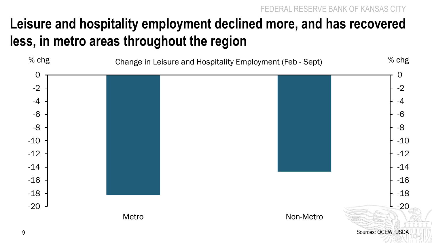RESERVE BANK OF KAN

### **Leisure and hospitality employment declined more, and has recovered less, in metro areas throughout the region**

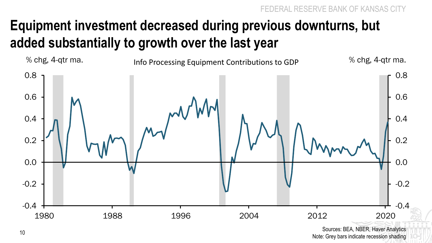## **Equipment investment decreased during previous downturns, but added substantially to growth over the last year**



Sources: BEA, NBER, Haver Analytics Note: Grey bars indicate recession shading the Note: Grey bars indicate recession shading 10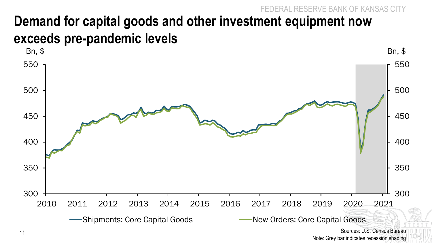### FSERVE BANK OF KANSAS CITY **Demand for capital goods and other investment equipment now exceeds pre-pandemic levels**



Note: Grey bar indicates recession shading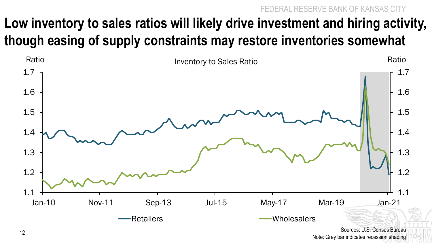FEDERAL RESERVE BANK OF KANSAS CITY

## **Low inventory to sales ratios will likely drive investment and hiring activity, though easing of supply constraints may restore inventories somewhat**



Sources: U.S. Census Bureau Note: Grey bar indicates recession shading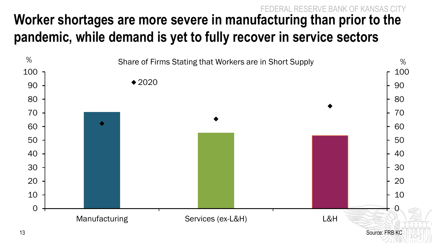#### FEDERAL RESERVE BANK OF KANSAS CITY **Worker shortages are more severe in manufacturing than prior to the pandemic, while demand is yet to fully recover in service sectors**

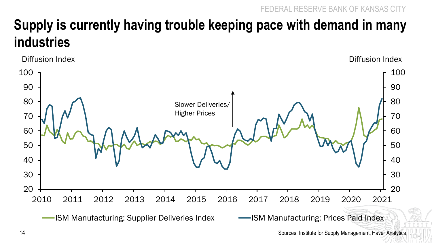### **Supply is currently having trouble keeping pace with demand in many industries**



Sources: Institute for Supply Management, Haver Analytics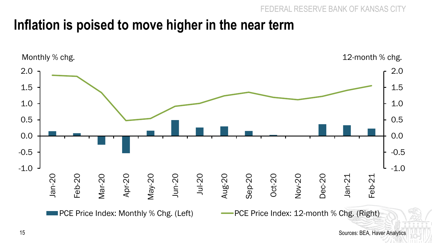### **Inflation is poised to move higher in the near term**



15 Sources: BEA, Haver Analytics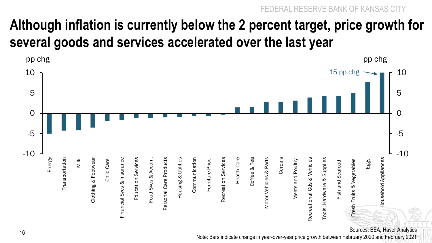### **Although inflation is currently below the 2 percent target, price growth for several goods and services accelerated over the last year**



Sources: BEA, Haver Analytics

Note: Bars indicate change in year-over-year price growth between February 2020 and February 2021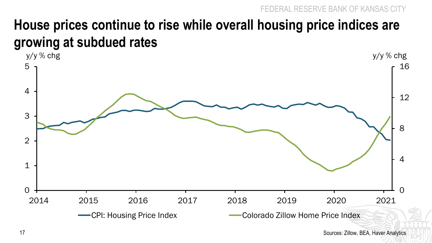### **House prices continue to rise while overall housing price indices are growing at subdued rates**

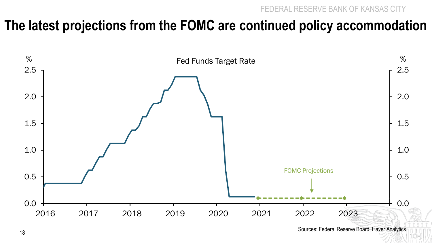### **The latest projections from the FOMC are continued policy accommodation**



Sources: Federal Reserve Board, Haver Analytics <sup>18</sup>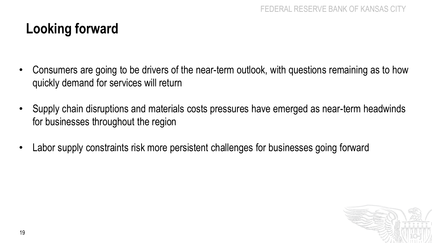### **Looking forward**

- Consumers are going to be drivers of the near-term outlook, with questions remaining as to how quickly demand for services will return
- Supply chain disruptions and materials costs pressures have emerged as near-term headwinds for businesses throughout the region
- Labor supply constraints risk more persistent challenges for businesses going forward